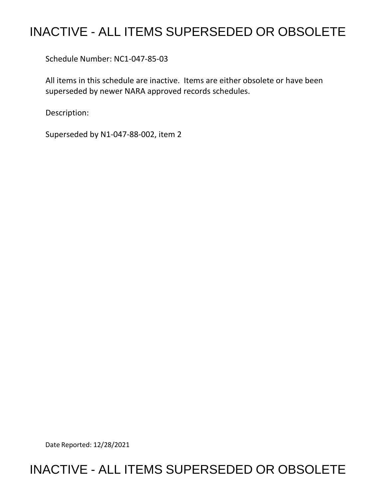## INACTIVE - ALL ITEMS SUPERSEDED OR OBSOLETE

Schedule Number: NC1-047-85-03

 All items in this schedule are inactive. Items are either obsolete or have been superseded by newer NARA approved records schedules.

Description:

Superseded by N1-047-88-002, item 2

Date Reported: 12/28/2021

## INACTIVE - ALL ITEMS SUPERSEDED OR OBSOLETE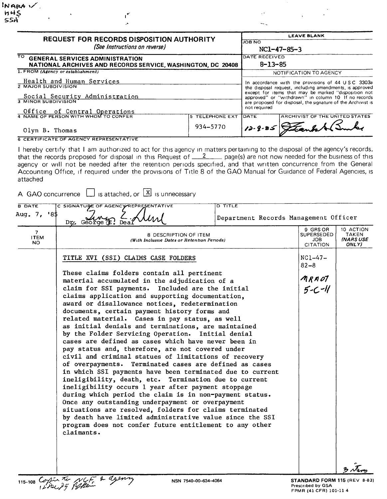| <b>REQUEST FOR RECORDS DISPOSITION AUTHORITY</b><br>(See Instructions on reverse)<br>TO.<br><b>GENERAL SERVICES ADMINISTRATION</b><br>NATIONAL ARCHIVES AND RECORDS SERVICE, WASHINGTON, DC 20408 |                 | <b>LEAVE BLANK</b>                                                                                                                                                     |                                |              |  |
|---------------------------------------------------------------------------------------------------------------------------------------------------------------------------------------------------|-----------------|------------------------------------------------------------------------------------------------------------------------------------------------------------------------|--------------------------------|--------------|--|
|                                                                                                                                                                                                   |                 | NOB NO                                                                                                                                                                 |                                |              |  |
|                                                                                                                                                                                                   |                 | NC1-47-85-3                                                                                                                                                            |                                |              |  |
|                                                                                                                                                                                                   |                 | DATE RECEIVED                                                                                                                                                          |                                |              |  |
|                                                                                                                                                                                                   |                 | $8 - 13 - 85$                                                                                                                                                          |                                |              |  |
| 1. FROM (Agency or establishment)                                                                                                                                                                 |                 | NOTIFICATION TO AGENCY                                                                                                                                                 |                                |              |  |
| Health and Human Services                                                                                                                                                                         |                 | In accordance with the provisions of 44 USC 3303a                                                                                                                      |                                |              |  |
| 2 MAJOR SUBDIVISION<br>Social Security Administration<br><b>3 MINOR SUBDIVISION</b>                                                                                                               |                 | the disposal request, including amendments, is approved<br>except for items that may be marked "disposition not<br>approved" or "withdrawn" in column 10 If no records |                                |              |  |
|                                                                                                                                                                                                   |                 |                                                                                                                                                                        |                                |              |  |
|                                                                                                                                                                                                   |                 | Office of Central Operations                                                                                                                                           |                                | not required |  |
| 4 NAME OF PERSON WITH WHOM TO CONFER                                                                                                                                                              | 5 TELEPHONE EXT | <b>DATE</b>                                                                                                                                                            | ARCHIVIST OF THE UNITED STATES |              |  |
| Olyn B. Thomas                                                                                                                                                                                    | 934-5770        |                                                                                                                                                                        | 12-8-85 Stends & Bunker        |              |  |
| <b>6 CERTIFICATE OF AGENCY REPRESENTATIVE</b>                                                                                                                                                     |                 |                                                                                                                                                                        |                                |              |  |

 $\sim$ 

I hereby certify that I am authorized to act for this agency in matters pertaining to the disposal of the agency's records, that the records proposed for disposal in this Request of  $12$  page(s) are not now needed for the business of this agency or will not be needed after the retention periods specified, and that written concurrence from the General Accounting Office, if required under the provisions of Title 8 of the GAO Manual for Guidance of Federal Agencies, is attached

| A GAO concurrence $\Box$ is attached, or $\Box$ is unnecessary |  |  |  |  |
|----------------------------------------------------------------|--|--|--|--|
|----------------------------------------------------------------|--|--|--|--|

 $\mathbf{r}^{\star}$ 

 $\mathbf{A}$ 

| <b>B DATE</b><br>Aug. 7, '8\$        | <b>D TITLE</b><br>C SIGNATURE OF AGENCY REPRESENTATIVE<br>Dr. George (E.                                                                                                                                                                                                                                                                                                                                                                                                                                                                                                                                                                                                                                                                                                                                                                                                                                                                                                                                                                                                                                                                                                                                             | Department Records Management Officer                    |                                                 |  |  |
|--------------------------------------|----------------------------------------------------------------------------------------------------------------------------------------------------------------------------------------------------------------------------------------------------------------------------------------------------------------------------------------------------------------------------------------------------------------------------------------------------------------------------------------------------------------------------------------------------------------------------------------------------------------------------------------------------------------------------------------------------------------------------------------------------------------------------------------------------------------------------------------------------------------------------------------------------------------------------------------------------------------------------------------------------------------------------------------------------------------------------------------------------------------------------------------------------------------------------------------------------------------------|----------------------------------------------------------|-------------------------------------------------|--|--|
| $\overline{7}$<br><b>ITEM</b><br>NO. | 8 DESCRIPTION OF ITEM<br>(With Inclusive Dates or Retention Periods)                                                                                                                                                                                                                                                                                                                                                                                                                                                                                                                                                                                                                                                                                                                                                                                                                                                                                                                                                                                                                                                                                                                                                 | 9 GRS OR<br><b>SUPERSEDED</b><br>JOB.<br><b>CITATION</b> | 10 ACTION<br>TAKEN<br><b>INARS USE</b><br>ONLY) |  |  |
|                                      | TITLE XVI (SSI) CLAIMS CASE FOLDERS<br>These claims folders contain all pertinent<br>material accumulated in the adjudication of a<br>claim for SSI payments. Included are the initial<br>claims application and supporting documentation,<br>award or disallowance notices, redetermination<br>documents, certain payment history forms and<br>related material. Cases in pay status, as well<br>as initial denials and terminations, are maintained<br>by the Folder Servicing Operation. Initial denial<br>cases are defined as cases which have never been in<br>pay status and, therefore, are not covered under<br>civil and criminal statues of limitations of recovery<br>of overpayments. Terminated cases are defined as cases<br>in which SSI payments have been terminated due to current<br>ineligibility, death, etc. Termination due to current<br>ineligibility occurs 1 year after payment stoppage<br>during which period the claim is in non-payment status.<br>Once any outstanding underpayment or overpayment<br>situations are resolved, folders for claims terminated<br>by death have limited administrative value since the SSI<br>program does not confer future entitlement to any other |                                                          |                                                 |  |  |
|                                      | 115-108 Continue The NCF & deferry<br>NSN 7540-00-634-4064                                                                                                                                                                                                                                                                                                                                                                                                                                                                                                                                                                                                                                                                                                                                                                                                                                                                                                                                                                                                                                                                                                                                                           | STANDARD FORM 115 (REV 8-83)                             |                                                 |  |  |